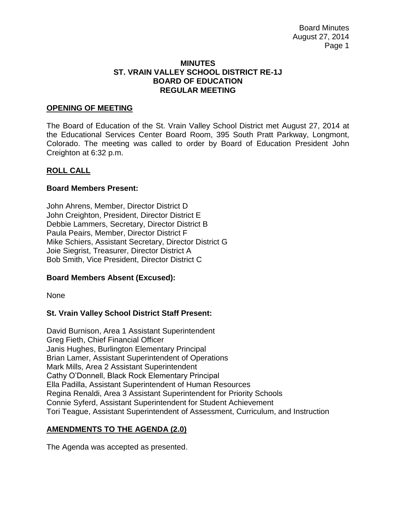Board Minutes August 27, 2014 Page 1

### **MINUTES ST. VRAIN VALLEY SCHOOL DISTRICT RE-1J BOARD OF EDUCATION REGULAR MEETING**

### **OPENING OF MEETING**

The Board of Education of the St. Vrain Valley School District met August 27, 2014 at the Educational Services Center Board Room, 395 South Pratt Parkway, Longmont, Colorado. The meeting was called to order by Board of Education President John Creighton at 6:32 p.m.

### **ROLL CALL**

### **Board Members Present:**

John Ahrens, Member, Director District D John Creighton, President, Director District E Debbie Lammers, Secretary, Director District B Paula Peairs, Member, Director District F Mike Schiers, Assistant Secretary, Director District G Joie Siegrist, Treasurer, Director District A Bob Smith, Vice President, Director District C

#### **Board Members Absent (Excused):**

None

## **St. Vrain Valley School District Staff Present:**

David Burnison, Area 1 Assistant Superintendent Greg Fieth, Chief Financial Officer Janis Hughes, Burlington Elementary Principal Brian Lamer, Assistant Superintendent of Operations Mark Mills, Area 2 Assistant Superintendent Cathy O'Donnell, Black Rock Elementary Principal Ella Padilla, Assistant Superintendent of Human Resources Regina Renaldi, Area 3 Assistant Superintendent for Priority Schools Connie Syferd, Assistant Superintendent for Student Achievement Tori Teague, Assistant Superintendent of Assessment, Curriculum, and Instruction

## **AMENDMENTS TO THE AGENDA (2.0)**

The Agenda was accepted as presented.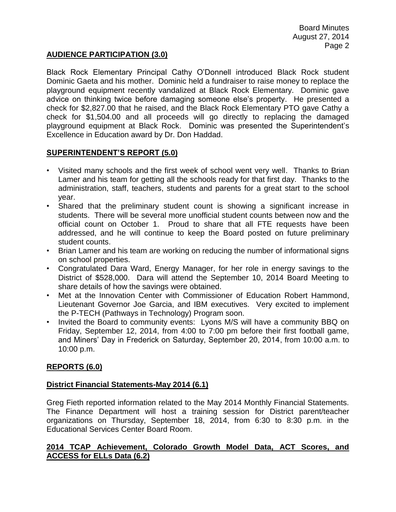# **AUDIENCE PARTICIPATION (3.0)**

Black Rock Elementary Principal Cathy O'Donnell introduced Black Rock student Dominic Gaeta and his mother. Dominic held a fundraiser to raise money to replace the playground equipment recently vandalized at Black Rock Elementary. Dominic gave advice on thinking twice before damaging someone else's property. He presented a check for \$2,827.00 that he raised, and the Black Rock Elementary PTO gave Cathy a check for \$1,504.00 and all proceeds will go directly to replacing the damaged playground equipment at Black Rock. Dominic was presented the Superintendent's Excellence in Education award by Dr. Don Haddad.

## **SUPERINTENDENT'S REPORT (5.0)**

- Visited many schools and the first week of school went very well. Thanks to Brian Lamer and his team for getting all the schools ready for that first day. Thanks to the administration, staff, teachers, students and parents for a great start to the school year.
- Shared that the preliminary student count is showing a significant increase in students. There will be several more unofficial student counts between now and the official count on October 1. Proud to share that all FTE requests have been addressed, and he will continue to keep the Board posted on future preliminary student counts.
- Brian Lamer and his team are working on reducing the number of informational signs on school properties.
- Congratulated Dara Ward, Energy Manager, for her role in energy savings to the District of \$528,000. Dara will attend the September 10, 2014 Board Meeting to share details of how the savings were obtained.
- Met at the Innovation Center with Commissioner of Education Robert Hammond, Lieutenant Governor Joe Garcia, and IBM executives. Very excited to implement the P-TECH (Pathways in Technology) Program soon.
- Invited the Board to community events: Lyons M/S will have a community BBQ on Friday, September 12, 2014, from 4:00 to 7:00 pm before their first football game, and Miners' Day in Frederick on Saturday, September 20, 2014, from 10:00 a.m. to 10:00 p.m.

## **REPORTS (6.0)**

## **District Financial Statements-May 2014 (6.1)**

Greg Fieth reported information related to the May 2014 Monthly Financial Statements. The Finance Department will host a training session for District parent/teacher organizations on Thursday, September 18, 2014, from 6:30 to 8:30 p.m. in the Educational Services Center Board Room.

## **2014 TCAP Achievement, Colorado Growth Model Data, ACT Scores, and ACCESS for ELLs Data (6.2)**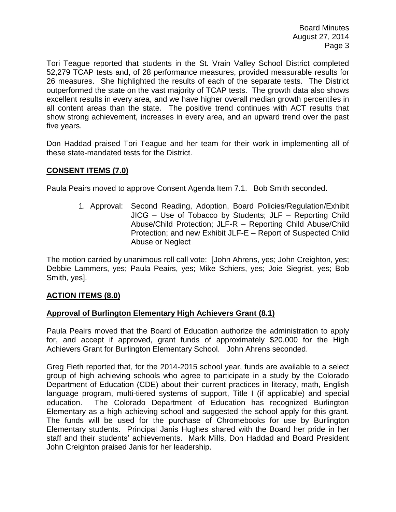Tori Teague reported that students in the St. Vrain Valley School District completed 52,279 TCAP tests and, of 28 performance measures, provided measurable results for 26 measures. She highlighted the results of each of the separate tests. The District outperformed the state on the vast majority of TCAP tests. The growth data also shows excellent results in every area, and we have higher overall median growth percentiles in all content areas than the state. The positive trend continues with ACT results that show strong achievement, increases in every area, and an upward trend over the past five years.

Don Haddad praised Tori Teague and her team for their work in implementing all of these state-mandated tests for the District.

# **CONSENT ITEMS (7.0)**

Paula Peairs moved to approve Consent Agenda Item 7.1. Bob Smith seconded.

1. Approval: Second Reading, Adoption, Board Policies/Regulation/Exhibit JICG – Use of Tobacco by Students; JLF – Reporting Child Abuse/Child Protection; JLF-R – Reporting Child Abuse/Child Protection; and new Exhibit JLF-E – Report of Suspected Child Abuse or Neglect

The motion carried by unanimous roll call vote: [John Ahrens, yes; John Creighton, yes; Debbie Lammers, yes; Paula Peairs, yes; Mike Schiers, yes; Joie Siegrist, yes; Bob Smith, yes].

## **ACTION ITEMS (8.0)**

## **Approval of Burlington Elementary High Achievers Grant (8.1)**

Paula Peairs moved that the Board of Education authorize the administration to apply for, and accept if approved, grant funds of approximately \$20,000 for the High Achievers Grant for Burlington Elementary School. John Ahrens seconded.

Greg Fieth reported that, for the 2014-2015 school year, funds are available to a select group of high achieving schools who agree to participate in a study by the Colorado Department of Education (CDE) about their current practices in literacy, math, English language program, multi-tiered systems of support, Title I (if applicable) and special education. The Colorado Department of Education has recognized Burlington Elementary as a high achieving school and suggested the school apply for this grant. The funds will be used for the purchase of Chromebooks for use by Burlington Elementary students. Principal Janis Hughes shared with the Board her pride in her staff and their students' achievements. Mark Mills, Don Haddad and Board President John Creighton praised Janis for her leadership.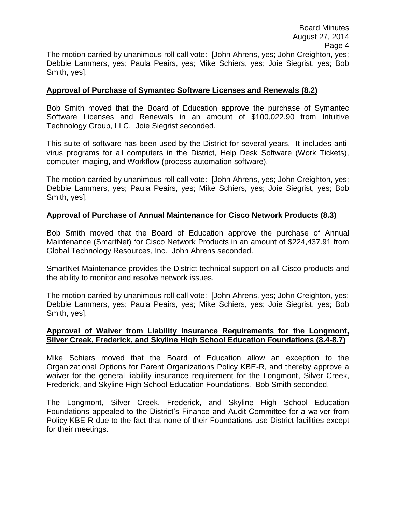## **Approval of Purchase of Symantec Software Licenses and Renewals (8.2)**

Bob Smith moved that the Board of Education approve the purchase of Symantec Software Licenses and Renewals in an amount of \$100,022.90 from Intuitive Technology Group, LLC. Joie Siegrist seconded.

This suite of software has been used by the District for several years. It includes antivirus programs for all computers in the District, Help Desk Software (Work Tickets), computer imaging, and Workflow (process automation software).

The motion carried by unanimous roll call vote: [John Ahrens, yes; John Creighton, yes; Debbie Lammers, yes; Paula Peairs, yes; Mike Schiers, yes; Joie Siegrist, yes; Bob Smith, yes].

# **Approval of Purchase of Annual Maintenance for Cisco Network Products (8.3)**

Bob Smith moved that the Board of Education approve the purchase of Annual Maintenance (SmartNet) for Cisco Network Products in an amount of \$224,437.91 from Global Technology Resources, Inc. John Ahrens seconded.

SmartNet Maintenance provides the District technical support on all Cisco products and the ability to monitor and resolve network issues.

The motion carried by unanimous roll call vote: [John Ahrens, yes; John Creighton, yes; Debbie Lammers, yes; Paula Peairs, yes; Mike Schiers, yes; Joie Siegrist, yes; Bob Smith, yes].

## **Approval of Waiver from Liability Insurance Requirements for the Longmont, Silver Creek, Frederick, and Skyline High School Education Foundations (8.4-8.7)**

Mike Schiers moved that the Board of Education allow an exception to the Organizational Options for Parent Organizations Policy KBE-R, and thereby approve a waiver for the general liability insurance requirement for the Longmont, Silver Creek, Frederick, and Skyline High School Education Foundations. Bob Smith seconded.

The Longmont, Silver Creek, Frederick, and Skyline High School Education Foundations appealed to the District's Finance and Audit Committee for a waiver from Policy KBE-R due to the fact that none of their Foundations use District facilities except for their meetings.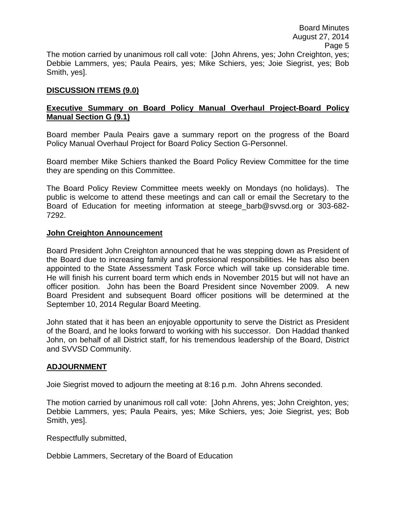## **DISCUSSION ITEMS (9.0)**

# **Executive Summary on Board Policy Manual Overhaul Project-Board Policy Manual Section G (9.1)**

Board member Paula Peairs gave a summary report on the progress of the Board Policy Manual Overhaul Project for Board Policy Section G-Personnel.

Board member Mike Schiers thanked the Board Policy Review Committee for the time they are spending on this Committee.

The Board Policy Review Committee meets weekly on Mondays (no holidays). The public is welcome to attend these meetings and can call or email the Secretary to the Board of Education for meeting information at steege\_barb@svvsd.org or 303-682- 7292.

#### **John Creighton Announcement**

Board President John Creighton announced that he was stepping down as President of the Board due to increasing family and professional responsibilities. He has also been appointed to the State Assessment Task Force which will take up considerable time. He will finish his current board term which ends in November 2015 but will not have an officer position. John has been the Board President since November 2009. A new Board President and subsequent Board officer positions will be determined at the September 10, 2014 Regular Board Meeting.

John stated that it has been an enjoyable opportunity to serve the District as President of the Board, and he looks forward to working with his successor. Don Haddad thanked John, on behalf of all District staff, for his tremendous leadership of the Board, District and SVVSD Community.

#### **ADJOURNMENT**

Joie Siegrist moved to adjourn the meeting at 8:16 p.m. John Ahrens seconded.

The motion carried by unanimous roll call vote: [John Ahrens, yes; John Creighton, yes; Debbie Lammers, yes; Paula Peairs, yes; Mike Schiers, yes; Joie Siegrist, yes; Bob Smith, yes].

Respectfully submitted,

Debbie Lammers, Secretary of the Board of Education